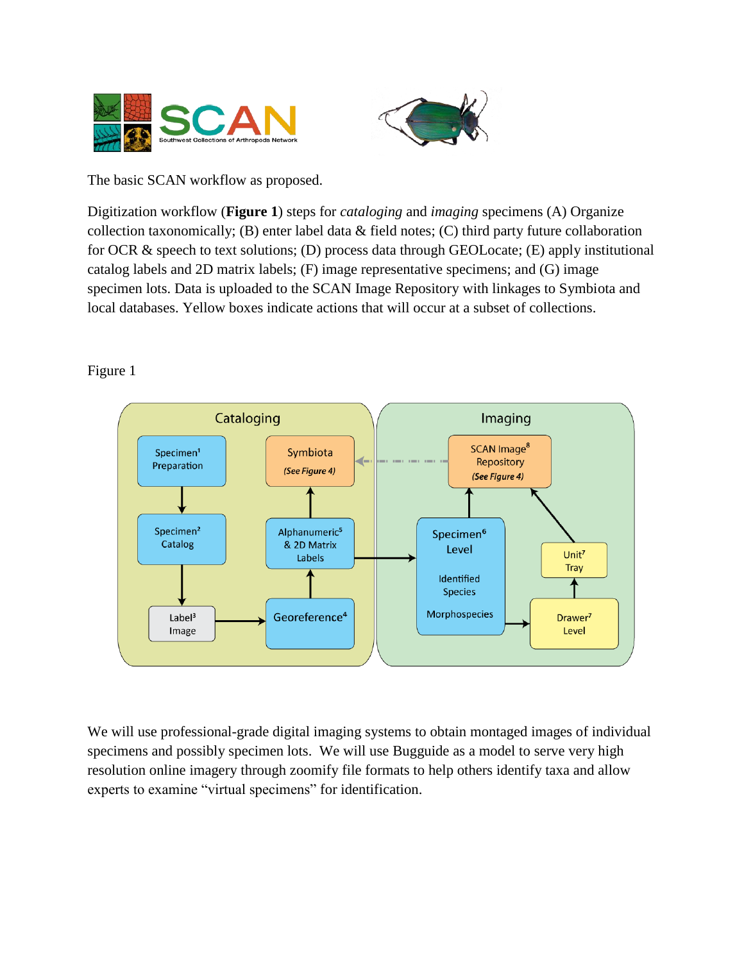



The basic SCAN workflow as proposed.

Digitization workflow (**Figure 1**) steps for *cataloging* and *imaging* specimens (A) Organize collection taxonomically; (B) enter label data & field notes; (C) third party future collaboration for OCR & speech to text solutions; (D) process data through GEOLocate; (E) apply institutional catalog labels and 2D matrix labels; (F) image representative specimens; and (G) image specimen lots. Data is uploaded to the SCAN Image Repository with linkages to Symbiota and local databases. Yellow boxes indicate actions that will occur at a subset of collections.

## Figure 1



We will use professional-grade digital imaging systems to obtain montaged images of individual specimens and possibly specimen lots. We will use Bugguide as a model to serve very high resolution online imagery through zoomify file formats to help others identify taxa and allow experts to examine "virtual specimens" for identification.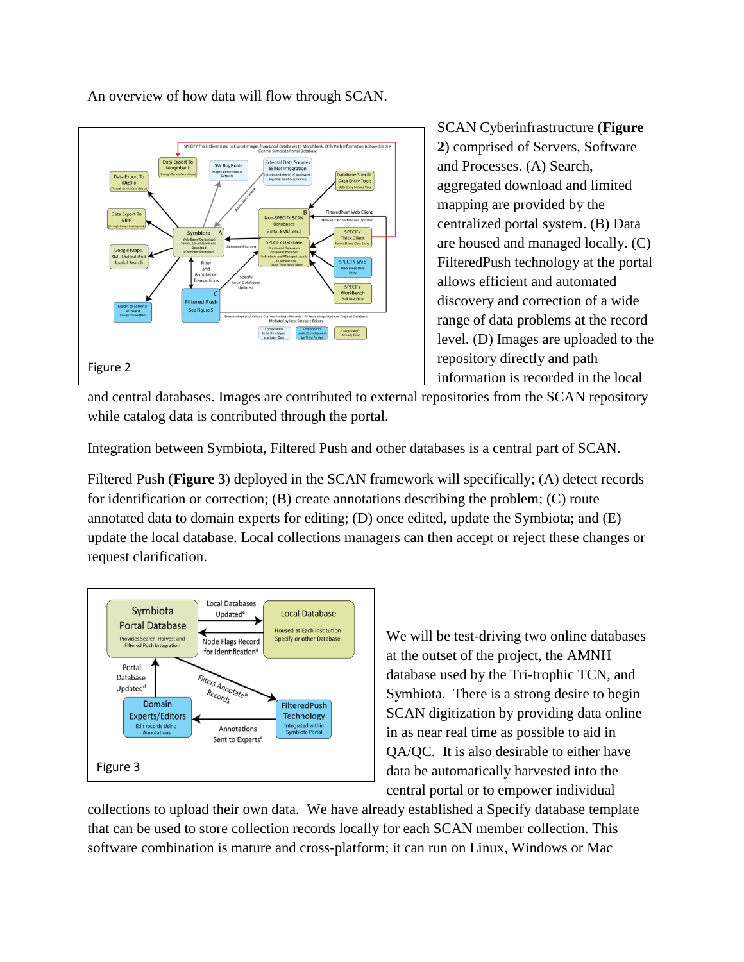

An overview of how data will flow through SCAN.

SCAN Cyberinfrastructure (**Figure 2**) comprised of Servers, Software and Processes. (A) Search, aggregated download and limited mapping are provided by the centralized portal system. (B) Data are housed and managed locally. (C) FilteredPush technology at the portal allows efficient and automated discovery and correction of a wide range of data problems at the record level. (D) Images are uploaded to the repository directly and path information is recorded in the local

and central databases. Images are contributed to external repositories from the SCAN repository while catalog data is contributed through the portal.

Integration between Symbiota, Filtered Push and other databases is a central part of SCAN.

Filtered Push (**Figure 3**) deployed in the SCAN framework will specifically; (A) detect records for identification or correction; (B) create annotations describing the problem; (C) route annotated data to domain experts for editing; (D) once edited, update the Symbiota; and (E) update the local database. Local collections managers can then accept or reject these changes or request clarification.



We will be test-driving two online databases at the outset of the project, the AMNH database used by the Tri-trophic TCN, and Symbiota. There is a strong desire to begin SCAN digitization by providing data online in as near real time as possible to aid in QA/QC. It is also desirable to either have data be automatically harvested into the central portal or to empower individual

collections to upload their own data. We have already established a Specify database template that can be used to store collection records locally for each SCAN member collection. This software combination is mature and cross-platform; it can run on Linux, Windows or Mac